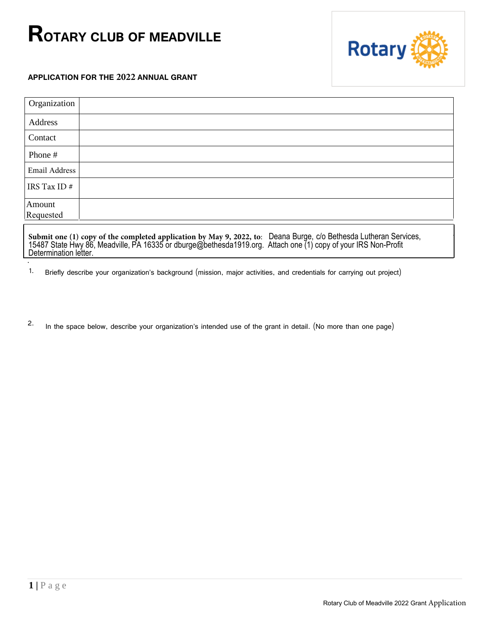## **ROTARY CLUB OF MEADVILLE**



## **APPLICATION FOR THE 2022 ANNUAL GRANT**

| Organization                                                                                                                                                                                                                                            |  |
|---------------------------------------------------------------------------------------------------------------------------------------------------------------------------------------------------------------------------------------------------------|--|
| <b>Address</b>                                                                                                                                                                                                                                          |  |
| Contact                                                                                                                                                                                                                                                 |  |
| Phone #                                                                                                                                                                                                                                                 |  |
| <b>Email Address</b>                                                                                                                                                                                                                                    |  |
| IRS Tax ID $#$                                                                                                                                                                                                                                          |  |
| Amount                                                                                                                                                                                                                                                  |  |
| Requested                                                                                                                                                                                                                                               |  |
| Submit one (1) copy of the completed application by May 9, 2022, to: Deana Burge, c/o Bethesda Lutheran Services, 15487 State Hwy 86, Meadville, PA 16335 or dburge@bethesda1919.org. Attach one (1) copy of your IRS Non-Prof<br>Determination letter. |  |

1. Briefly describe your organization's background (mission, major activities, and credentials for carrying out project)

2. In the space below, describe your organization's intended use of the grant in detail. (No more than one page)